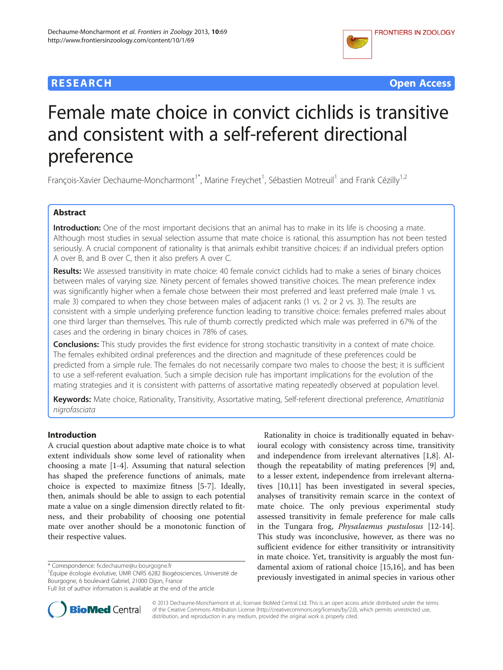# **RESEARCH CHE Open Access**



# Female mate choice in convict cichlids is transitive and consistent with a self-referent directional preference

François-Xavier Dechaume-Moncharmont<sup>1\*</sup>, Marine Freychet<sup>1</sup>, Sébastien Motreuil<sup>1</sup> and Frank Cézilly<sup>1,2</sup>

# Abstract

Introduction: One of the most important decisions that an animal has to make in its life is choosing a mate. Although most studies in sexual selection assume that mate choice is rational, this assumption has not been tested seriously. A crucial component of rationality is that animals exhibit transitive choices: if an individual prefers option A over B, and B over C, then it also prefers A over C.

Results: We assessed transitivity in mate choice: 40 female convict cichlids had to make a series of binary choices between males of varying size. Ninety percent of females showed transitive choices. The mean preference index was significantly higher when a female chose between their most preferred and least preferred male (male 1 vs. male 3) compared to when they chose between males of adjacent ranks (1 vs. 2 or 2 vs. 3). The results are consistent with a simple underlying preference function leading to transitive choice: females preferred males about one third larger than themselves. This rule of thumb correctly predicted which male was preferred in 67% of the cases and the ordering in binary choices in 78% of cases.

**Conclusions:** This study provides the first evidence for strong stochastic transitivity in a context of mate choice. The females exhibited ordinal preferences and the direction and magnitude of these preferences could be predicted from a simple rule. The females do not necessarily compare two males to choose the best; it is sufficient to use a self-referent evaluation. Such a simple decision rule has important implications for the evolution of the mating strategies and it is consistent with patterns of assortative mating repeatedly observed at population level.

Keywords: Mate choice, Rationality, Transitivity, Assortative mating, Self-referent directional preference, Amatitlania nigrofasciata

## Introduction

A crucial question about adaptive mate choice is to what extent individuals show some level of rationality when choosing a mate [\[1](#page-7-0)-[4\]](#page-7-0). Assuming that natural selection has shaped the preference functions of animals, mate choice is expected to maximize fitness [\[5-7](#page-7-0)]. Ideally, then, animals should be able to assign to each potential mate a value on a single dimension directly related to fitness, and their probability of choosing one potential mate over another should be a monotonic function of their respective values.

Rationality in choice is traditionally equated in behavioural ecology with consistency across time, transitivity and independence from irrelevant alternatives [\[1,8](#page-7-0)]. Although the repeatability of mating preferences [[9\]](#page-7-0) and, to a lesser extent, independence from irrelevant alternatives [[10,11\]](#page-7-0) has been investigated in several species, analyses of transitivity remain scarce in the context of mate choice. The only previous experimental study assessed transitivity in female preference for male calls in the Tungara frog, Physalaemus pustulosus [\[12-14](#page-7-0)]. This study was inconclusive, however, as there was no sufficient evidence for either transitivity or intransitivity in mate choice. Yet, transitivity is arguably the most fundamental axiom of rational choice [\[15,16](#page-7-0)], and has been previously investigated in animal species in various other



© 2013 Dechaume-Moncharmont et al.; licensee BioMed Central Ltd. This is an open access article distributed under the terms of the Creative Commons Attribution License (<http://creativecommons.org/licenses/by/2.0>), which permits unrestricted use, distribution, and reproduction in any medium, provided the original work is properly cited.

<sup>\*</sup> Correspondence: [fx.dechaume@u-bourgogne.fr](mailto:fx.dechaume@u-bourgogne.fr) <sup>1</sup>

<sup>&</sup>lt;sup>1</sup>Équipe écologie évolutive, UMR CNRS 6282 Biogéosciences, Université de Bourgogne, 6 boulevard Gabriel, 21000 Dijon, France

Full list of author information is available at the end of the article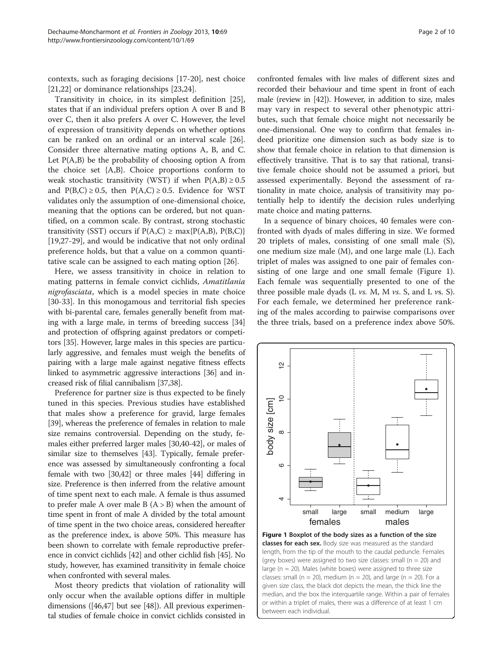<span id="page-1-0"></span>contexts, such as foraging decisions [\[17-20](#page-7-0)], nest choice [[21,22\]](#page-7-0) or dominance relationships [[23](#page-7-0),[24](#page-7-0)].

Transitivity in choice, in its simplest definition [\[25](#page-7-0)], states that if an individual prefers option A over B and B over C, then it also prefers A over C. However, the level of expression of transitivity depends on whether options can be ranked on an ordinal or an interval scale [\[26](#page-7-0)]. Consider three alternative mating options A, B, and C. Let  $P(A,B)$  be the probability of choosing option A from the choice set {A,B}. Choice proportions conform to weak stochastic transitivity (WST) if when  $P(A,B) \ge 0.5$ and  $P(B,C) \ge 0.5$ , then  $P(A,C) \ge 0.5$ . Evidence for WST validates only the assumption of one-dimensional choice, meaning that the options can be ordered, but not quantified, on a common scale. By contrast, strong stochastic transitivity (SST) occurs if  $P(A,C) \ge \max\{P(A,B), P(B,C)\}$ [[19,27-29\]](#page-7-0), and would be indicative that not only ordinal preference holds, but that a value on a common quantitative scale can be assigned to each mating option [\[26\]](#page-7-0).

Here, we assess transitivity in choice in relation to mating patterns in female convict cichlids, Amatitlania nigrofasciata, which is a model species in mate choice [[30-33](#page-7-0)]. In this monogamous and territorial fish species with bi-parental care, females generally benefit from mating with a large male, in terms of breeding success [[34](#page-7-0)] and protection of offspring against predators or competitors [\[35\]](#page-7-0). However, large males in this species are particularly aggressive, and females must weigh the benefits of pairing with a large male against negative fitness effects linked to asymmetric aggressive interactions [\[36\]](#page-7-0) and increased risk of filial cannibalism [[37,38\]](#page-7-0).

Preference for partner size is thus expected to be finely tuned in this species. Previous studies have established that males show a preference for gravid, large females [[39](#page-7-0)], whereas the preference of females in relation to male size remains controversial. Depending on the study, females either preferred larger males [[30,40](#page-7-0)-[42](#page-7-0)], or males of similar size to themselves [\[43\]](#page-7-0). Typically, female preference was assessed by simultaneously confronting a focal female with two [\[30,42\]](#page-7-0) or three males [\[44\]](#page-7-0) differing in size. Preference is then inferred from the relative amount of time spent next to each male. A female is thus assumed to prefer male A over male B  $(A > B)$  when the amount of time spent in front of male A divided by the total amount of time spent in the two choice areas, considered hereafter as the preference index, is above 50%. This measure has been shown to correlate with female reproductive preference in convict cichlids [\[42\]](#page-7-0) and other cichlid fish [[45](#page-7-0)]. No study, however, has examined transitivity in female choice when confronted with several males.

Most theory predicts that violation of rationality will only occur when the available options differ in multiple dimensions ([\[46,47\]](#page-7-0) but see [\[48](#page-7-0)]). All previous experimental studies of female choice in convict cichlids consisted in confronted females with live males of different sizes and recorded their behaviour and time spent in front of each male (review in [\[42\]](#page-7-0)). However, in addition to size, males may vary in respect to several other phenotypic attributes, such that female choice might not necessarily be one-dimensional. One way to confirm that females indeed prioritize one dimension such as body size is to show that female choice in relation to that dimension is effectively transitive. That is to say that rational, transitive female choice should not be assumed a priori, but assessed experimentally. Beyond the assessment of rationality in mate choice, analysis of transitivity may potentially help to identify the decision rules underlying mate choice and mating patterns.

In a sequence of binary choices, 40 females were confronted with dyads of males differing in size. We formed 20 triplets of males, consisting of one small male (S), one medium size male (M), and one large male (L). Each triplet of males was assigned to one pair of females consisting of one large and one small female (Figure 1). Each female was sequentially presented to one of the three possible male dyads (L  $vs.$  M, M  $vs.$  S, and L  $vs.$  S). For each female, we determined her preference ranking of the males according to pairwise comparisons over the three trials, based on a preference index above 50%.



Figure 1 Boxplot of the body sizes as a function of the size **classes for each sex.** Body size was measured as the standard length, from the tip of the mouth to the caudal peduncle. Females (grey boxes) were assigned to two size classes: small ( $n = 20$ ) and large ( $n = 20$ ). Males (white boxes) were assigned to three size classes: small ( $n = 20$ ), medium ( $n = 20$ ), and large ( $n = 20$ ). For a given size class, the black dot depicts the mean, the thick line the median, and the box the interquartile range. Within a pair of females or within a triplet of males, there was a difference of at least 1 cm between each individual.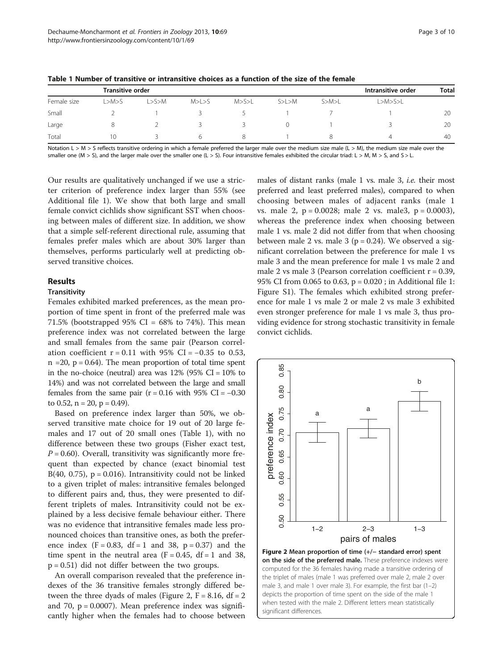|             | Transitive order |       |       |      |         |              | Intransitive order | <b>Total</b> |
|-------------|------------------|-------|-------|------|---------|--------------|--------------------|--------------|
| Female size | ∟>M>S            | L>S>M | M>L>5 | M>>L | S> L> M | $S>$ M $>$ L | L > M > S > L      |              |
| Small       |                  |       |       |      |         |              |                    | 20           |
| Large       |                  |       |       |      |         |              |                    | 20           |
| Total       | 10               |       |       |      |         |              |                    | 40           |

Table 1 Number of transitive or intransitive choices as a function of the size of the female

Notation L > M > S reflects transitive ordering in which a female preferred the larger male over the medium size male (L > M), the medium size male over the smaller one (M > S), and the larger male over the smaller one (L > S). Four intransitive females exhibited the circular triad: L > M, M > S, and S > L.

Our results are qualitatively unchanged if we use a stricter criterion of preference index larger than 55% (see Additional file [1](#page-7-0)). We show that both large and small female convict cichlids show significant SST when choosing between males of different size. In addition, we show that a simple self-referent directional rule, assuming that females prefer males which are about 30% larger than themselves, performs particularly well at predicting observed transitive choices.

# Results

## **Transitivity**

Females exhibited marked preferences, as the mean proportion of time spent in front of the preferred male was 71.5% (bootstrapped 95% CI =  $68\%$  to 74%). This mean preference index was not correlated between the large and small females from the same pair (Pearson correlation coefficient  $r = 0.11$  with 95% CI = -0.35 to 0.53,  $n = 20$ ,  $p = 0.64$ ). The mean proportion of total time spent in the no-choice (neutral) area was  $12\%$  (95% CI = 10% to 14%) and was not correlated between the large and small females from the same pair ( $r = 0.16$  with 95% CI = -0.30 to 0.52,  $n = 20$ ,  $p = 0.49$ ).

Based on preference index larger than 50%, we observed transitive mate choice for 19 out of 20 large females and 17 out of 20 small ones (Table 1), with no difference between these two groups (Fisher exact test,  $P = 0.60$ ). Overall, transitivity was significantly more frequent than expected by chance (exact binomial test B(40, 0.75),  $p = 0.016$ ). Intransitivity could not be linked to a given triplet of males: intransitive females belonged to different pairs and, thus, they were presented to different triplets of males. Intransitivity could not be explained by a less decisive female behaviour either. There was no evidence that intransitive females made less pronounced choices than transitive ones, as both the preference index  $(F = 0.83, df = 1 and 38, p = 0.37)$  and the time spent in the neutral area  $(F = 0.45, df = 1$  and 38,  $p = 0.51$ ) did not differ between the two groups.

An overall comparison revealed that the preference indexes of the 36 transitive females strongly differed between the three dyads of males (Figure 2,  $F = 8.16$ , df = 2 and 70,  $p = 0.0007$ ). Mean preference index was significantly higher when the females had to choose between

males of distant ranks (male 1 vs. male 3, i.e. their most preferred and least preferred males), compared to when choosing between males of adjacent ranks (male 1 vs. male 2,  $p = 0.0028$ ; male 2 vs. male 3,  $p = 0.0003$ ), whereas the preference index when choosing between male 1 vs. male 2 did not differ from that when choosing between male 2 vs. male 3 ( $p = 0.24$ ). We observed a significant correlation between the preference for male 1 vs male 3 and the mean preference for male 1 vs male 2 and male 2 vs male 3 (Pearson correlation coefficient  $r = 0.39$ , 95% CI from 0.065 to 0.63, p = 0.020 ; in Additional file [1](#page-7-0): Figure S1). The females which exhibited strong preference for male 1 vs male 2 or male 2 vs male 3 exhibited even stronger preference for male 1 vs male 3, thus providing evidence for strong stochastic transitivity in female convict cichlids.



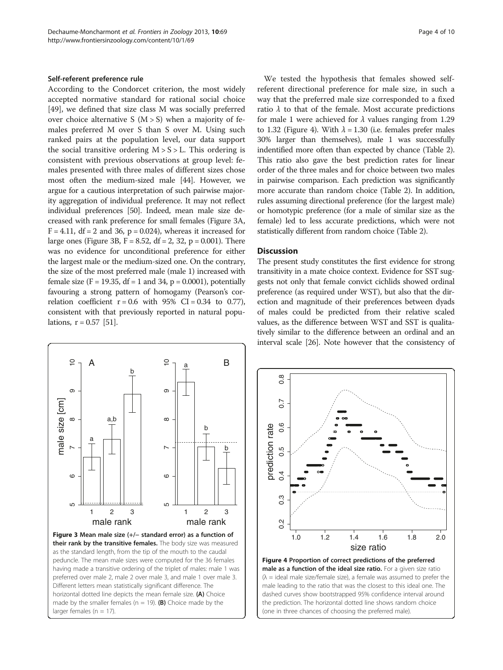#### Self-referent preference rule

According to the Condorcet criterion, the most widely accepted normative standard for rational social choice [[49\]](#page-7-0), we defined that size class M was socially preferred over choice alternative S  $(M > S)$  when a majority of females preferred M over S than S over M. Using such ranked pairs at the population level, our data support the social transitive ordering  $M > S > L$ . This ordering is consistent with previous observations at group level: females presented with three males of different sizes chose most often the medium-sized male [\[44\]](#page-7-0). However, we argue for a cautious interpretation of such pairwise majority aggregation of individual preference. It may not reflect individual preferences [[50](#page-8-0)]. Indeed, mean male size decreased with rank preference for small females (Figure 3A,  $F = 4.11$ , df = 2 and 36, p = 0.024), whereas it increased for large ones (Figure 3B,  $F = 8.52$ ,  $df = 2$ , 32,  $p = 0.001$ ). There was no evidence for unconditional preference for either the largest male or the medium-sized one. On the contrary, the size of the most preferred male (male 1) increased with female size  $(F = 19.35, df = 1$  and 34,  $p = 0.0001$ ), potentially favouring a strong pattern of homogamy (Pearson's correlation coefficient  $r = 0.6$  with 95% CI = 0.34 to 0.77), consistent with that previously reported in natural populations,  $r = 0.57$  [\[51](#page-8-0)].



We tested the hypothesis that females showed selfreferent directional preference for male size, in such a way that the preferred male size corresponded to a fixed ratio  $\lambda$  to that of the female. Most accurate predictions for male 1 were achieved for  $\lambda$  values ranging from 1.29 to 1.32 (Figure 4). With  $\lambda = 1.30$  (i.e. females prefer males 30% larger than themselves), male 1 was successfully indentified more often than expected by chance (Table [2](#page-4-0)). This ratio also gave the best prediction rates for linear order of the three males and for choice between two males in pairwise comparison. Each prediction was significantly more accurate than random choice (Table [2](#page-4-0)). In addition, rules assuming directional preference (for the largest male) or homotypic preference (for a male of similar size as the female) led to less accurate predictions, which were not statistically different from random choice (Table [2\)](#page-4-0).

#### **Discussion**

The present study constitutes the first evidence for strong transitivity in a mate choice context. Evidence for SST suggests not only that female convict cichlids showed ordinal preference (as required under WST), but also that the direction and magnitude of their preferences between dyads of males could be predicted from their relative scaled values, as the difference between WST and SST is qualitatively similar to the difference between an ordinal and an interval scale [[26](#page-7-0)]. Note however that the consistency of



the prediction. The horizontal dotted line shows random choice (one in three chances of choosing the preferred male).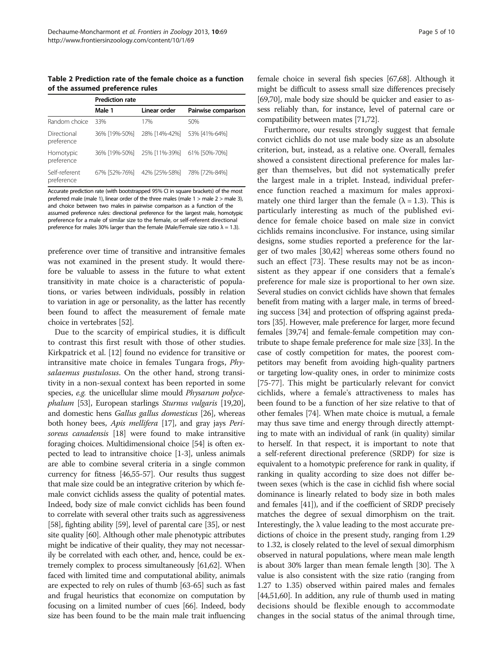<span id="page-4-0"></span>Table 2 Prediction rate of the female choice as a function of the assumed preference rules

|                             | <b>Prediction rate</b> |               |                     |  |  |  |
|-----------------------------|------------------------|---------------|---------------------|--|--|--|
|                             | Male 1                 | Linear order  | Pairwise comparison |  |  |  |
| Random choice               | 33%                    | 17%           | 50%                 |  |  |  |
| Directional<br>preference   | 36% [19%-50%]          | 28% [14%-42%] | 53% [41%-64%]       |  |  |  |
| Homotypic<br>preference     | 36% [19%-50%]          | 25% [11%-39%] | 61% [50%-70%]       |  |  |  |
| Self-referent<br>preference | 67% [52%-76%]          | 42% [25%-58%] | 78% [72%-84%]       |  |  |  |

Accurate prediction rate (with bootstrapped 95% CI in square brackets) of the most preferred male (male 1), linear order of the three males (male 1 > male 2 > male 3), and choice between two males in pairwise comparison as a function of the assumed preference rules: directional preference for the largest male, homotypic preference for a male of similar size to the female, or self-referent directional preference for males 30% larger than the female (Male/Female size ratio  $\lambda = 1.3$ ).

preference over time of transitive and intransitive females was not examined in the present study. It would therefore be valuable to assess in the future to what extent transitivity in mate choice is a characteristic of populations, or varies between individuals, possibly in relation to variation in age or personality, as the latter has recently been found to affect the measurement of female mate choice in vertebrates [[52](#page-8-0)].

Due to the scarcity of empirical studies, it is difficult to contrast this first result with those of other studies. Kirkpatrick et al. [[12](#page-7-0)] found no evidence for transitive or intransitive mate choice in females Tungara frogs, Physalaemus pustulosus. On the other hand, strong transitivity in a non-sexual context has been reported in some species, e.g. the unicellular slime mould *Physarum polyce*phalum [[53](#page-8-0)], European starlings Sturnus vulgaris [\[19,20](#page-7-0)], and domestic hens Gallus gallus domesticus [\[26](#page-7-0)], whereas both honey bees, Apis mellifera [\[17\]](#page-7-0), and gray jays Perisoreus canadensis [[18](#page-7-0)] were found to make intransitive foraging choices. Multidimensional choice [\[54\]](#page-8-0) is often expected to lead to intransitive choice [\[1-3](#page-7-0)], unless animals are able to combine several criteria in a single common currency for fitness [[46](#page-7-0)[,55-57\]](#page-8-0). Our results thus suggest that male size could be an integrative criterion by which female convict cichlids assess the quality of potential mates. Indeed, body size of male convict cichlids has been found to correlate with several other traits such as aggressiveness [[58](#page-8-0)], fighting ability [[59](#page-8-0)], level of parental care [\[35\]](#page-7-0), or nest site quality [[60](#page-8-0)]. Although other male phenotypic attributes might be indicative of their quality, they may not necessarily be correlated with each other, and, hence, could be extremely complex to process simultaneously [\[61,62](#page-8-0)]. When faced with limited time and computational ability, animals are expected to rely on rules of thumb [\[63-65\]](#page-8-0) such as fast and frugal heuristics that economize on computation by focusing on a limited number of cues [\[66](#page-8-0)]. Indeed, body size has been found to be the main male trait influencing

female choice in several fish species [\[67,68](#page-8-0)]. Although it might be difficult to assess small size differences precisely [[69,70\]](#page-8-0), male body size should be quicker and easier to assess reliably than, for instance, level of paternal care or compatibility between mates [\[71,72](#page-8-0)].

Furthermore, our results strongly suggest that female convict cichlids do not use male body size as an absolute criterion, but, instead, as a relative one. Overall, females showed a consistent directional preference for males larger than themselves, but did not systematically prefer the largest male in a triplet. Instead, individual preference function reached a maximum for males approximately one third larger than the female  $(\lambda = 1.3)$ . This is particularly interesting as much of the published evidence for female choice based on male size in convict cichlids remains inconclusive. For instance, using similar designs, some studies reported a preference for the larger of two males [\[30,42](#page-7-0)] whereas some others found no such an effect [\[73](#page-8-0)]. These results may not be as inconsistent as they appear if one considers that a female's preference for male size is proportional to her own size. Several studies on convict cichlids have shown that females benefit from mating with a larger male, in terms of breeding success [\[34\]](#page-7-0) and protection of offspring against predators [[35](#page-7-0)]. However, male preference for larger, more fecund females [\[39](#page-7-0)[,74](#page-8-0)] and female-female competition may contribute to shape female preference for male size [[33](#page-7-0)]. In the case of costly competition for mates, the poorest competitors may benefit from avoiding high-quality partners or targeting low-quality ones, in order to minimize costs [[75-77](#page-8-0)]. This might be particularly relevant for convict cichlids, where a female's attractiveness to males has been found to be a function of her size relative to that of other females [\[74\]](#page-8-0). When mate choice is mutual, a female may thus save time and energy through directly attempting to mate with an individual of rank (in quality) similar to herself. In that respect, it is important to note that a self-referent directional preference (SRDP) for size is equivalent to a homotypic preference for rank in quality, if ranking in quality according to size does not differ between sexes (which is the case in cichlid fish where social dominance is linearly related to body size in both males and females [[41](#page-7-0)]), and if the coefficient of SRDP precisely matches the degree of sexual dimorphism on the trait. Interestingly, the  $\lambda$  value leading to the most accurate predictions of choice in the present study, ranging from 1.29 to 1.32, is closely related to the level of sexual dimorphism observed in natural populations, where mean male length is about [30](#page-7-0)% larger than mean female length [30]. The  $λ$ value is also consistent with the size ratio (ranging from 1.27 to 1.35) observed within paired males and females [[44](#page-7-0)[,51,60\]](#page-8-0). In addition, any rule of thumb used in mating decisions should be flexible enough to accommodate changes in the social status of the animal through time,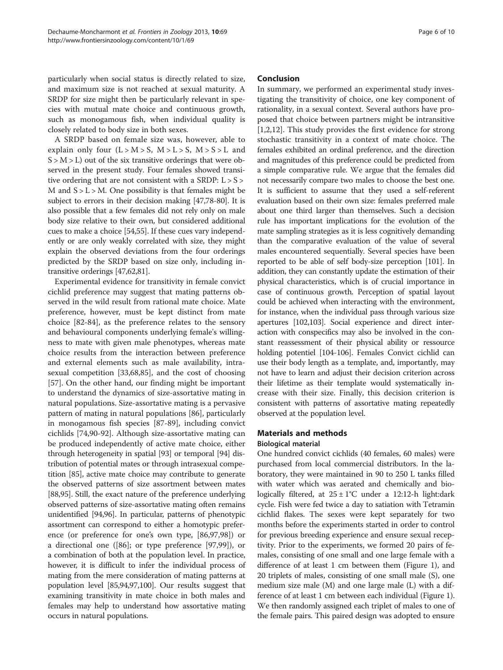particularly when social status is directly related to size, and maximum size is not reached at sexual maturity. A SRDP for size might then be particularly relevant in species with mutual mate choice and continuous growth, such as monogamous fish, when individual quality is closely related to body size in both sexes.

A SRDP based on female size was, however, able to explain only four  $(L > M > S, M > L > S, M > S > L$  and  $S > M > L$ ) out of the six transitive orderings that were observed in the present study. Four females showed transitive ordering that are not consistent with a SRDP:  $L > S >$ M and  $S > L > M$ . One possibility is that females might be subject to errors in their decision making [[47](#page-7-0)[,78](#page-8-0)-[80](#page-8-0)]. It is also possible that a few females did not rely only on male body size relative to their own, but considered additional cues to make a choice [[54,55](#page-8-0)]. If these cues vary independently or are only weakly correlated with size, they might explain the observed deviations from the four orderings predicted by the SRDP based on size only, including intransitive orderings [\[47,](#page-7-0)[62,81](#page-8-0)].

Experimental evidence for transitivity in female convict cichlid preference may suggest that mating patterns observed in the wild result from rational mate choice. Mate preference, however, must be kept distinct from mate choice [\[82](#page-8-0)-[84](#page-8-0)], as the preference relates to the sensory and behavioural components underlying female's willingness to mate with given male phenotypes, whereas mate choice results from the interaction between preference and external elements such as male availability, intrasexual competition [\[33](#page-7-0)[,68,85](#page-8-0)], and the cost of choosing [[57\]](#page-8-0). On the other hand, our finding might be important to understand the dynamics of size-assortative mating in natural populations. Size-assortative mating is a pervasive pattern of mating in natural populations [\[86](#page-8-0)], particularly in monogamous fish species [\[87-89](#page-8-0)], including convict cichlids [[74,90-92](#page-8-0)]. Although size-assortative mating can be produced independently of active mate choice, either through heterogeneity in spatial [[93](#page-8-0)] or temporal [\[94\]](#page-8-0) distribution of potential mates or through intrasexual competition [\[85](#page-8-0)], active mate choice may contribute to generate the observed patterns of size assortment between mates [[88,95](#page-8-0)]. Still, the exact nature of the preference underlying observed patterns of size-assortative mating often remains unidentified [[94,96\]](#page-8-0). In particular, patterns of phenotypic assortment can correspond to either a homotypic preference (or preference for one's own type, [[86](#page-8-0),[97](#page-8-0),[98](#page-8-0)]) or a directional one ([\[86](#page-8-0)]; or type preference [[97](#page-8-0),[99](#page-8-0)]), or a combination of both at the population level. In practice, however, it is difficult to infer the individual process of mating from the mere consideration of mating patterns at population level [\[85,94,97,100\]](#page-8-0). Our results suggest that examining transitivity in mate choice in both males and females may help to understand how assortative mating occurs in natural populations.

## Conclusion

In summary, we performed an experimental study investigating the transitivity of choice, one key component of rationality, in a sexual context. Several authors have proposed that choice between partners might be intransitive [[1,2,12\]](#page-7-0). This study provides the first evidence for strong stochastic transitivity in a context of mate choice. The females exhibited an ordinal preference, and the direction and magnitudes of this preference could be predicted from a simple comparative rule. We argue that the females did not necessarily compare two males to choose the best one. It is sufficient to assume that they used a self-referent evaluation based on their own size: females preferred male about one third larger than themselves. Such a decision rule has important implications for the evolution of the mate sampling strategies as it is less cognitively demanding than the comparative evaluation of the value of several males encountered sequentially. Several species have been reported to be able of self body-size perception [[101](#page-8-0)]. In addition, they can constantly update the estimation of their physical characteristics, which is of crucial importance in case of continuous growth. Perception of spatial layout could be achieved when interacting with the environment, for instance, when the individual pass through various size apertures [\[102,103\]](#page-8-0). Social experience and direct interaction with conspecifics may also be involved in the constant reassessment of their physical ability or ressource holding potentiel [\[104-106](#page-8-0)]. Females Convict cichlid can use their body length as a template, and, importantly, may not have to learn and adjust their decision criterion across their lifetime as their template would systematically increase with their size. Finally, this decision criterion is consistent with patterns of assortative mating repeatedly observed at the population level.

## Materials and methods

#### Biological material

One hundred convict cichlids (40 females, 60 males) were purchased from local commercial distributors. In the laboratory, they were maintained in 90 to 250 L tanks filled with water which was aerated and chemically and biologically filtered, at  $25 \pm 1^{\circ}$ C under a 12:12-h light:dark cycle. Fish were fed twice a day to satiation with Tetramin cichlid flakes. The sexes were kept separately for two months before the experiments started in order to control for previous breeding experience and ensure sexual receptivity. Prior to the experiments, we formed 20 pairs of females, consisting of one small and one large female with a difference of at least 1 cm between them (Figure [1\)](#page-1-0), and 20 triplets of males, consisting of one small male (S), one medium size male (M) and one large male (L) with a difference of at least 1 cm between each individual (Figure [1](#page-1-0)). We then randomly assigned each triplet of males to one of the female pairs. This paired design was adopted to ensure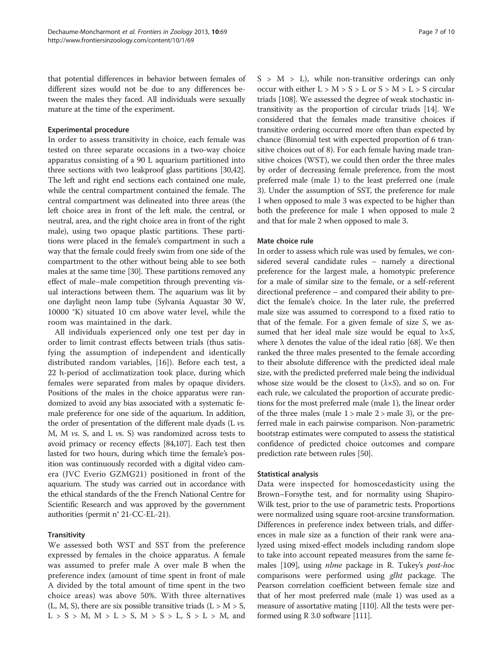that potential differences in behavior between females of different sizes would not be due to any differences between the males they faced. All individuals were sexually mature at the time of the experiment.

#### Experimental procedure

In order to assess transitivity in choice, each female was tested on three separate occasions in a two-way choice apparatus consisting of a 90 L aquarium partitioned into three sections with two leakproof glass partitions [\[30,42](#page-7-0)]. The left and right end sections each contained one male, while the central compartment contained the female. The central compartment was delineated into three areas (the left choice area in front of the left male, the central, or neutral, area, and the right choice area in front of the right male), using two opaque plastic partitions. These partitions were placed in the female's compartment in such a way that the female could freely swim from one side of the compartment to the other without being able to see both males at the same time [\[30\]](#page-7-0). These partitions removed any effect of male–male competition through preventing visual interactions between them. The aquarium was lit by one daylight neon lamp tube (Sylvania Aquastar 30 W, 10000 °K) situated 10 cm above water level, while the room was maintained in the dark.

All individuals experienced only one test per day in order to limit contrast effects between trials (thus satisfying the assumption of independent and identically distributed random variables, [[16](#page-7-0)]). Before each test, a 22 h-period of acclimatization took place, during which females were separated from males by opaque dividers. Positions of the males in the choice apparatus were randomized to avoid any bias associated with a systematic female preference for one side of the aquarium. In addition, the order of presentation of the different male dyads (L vs. M, M  $vs.$  S, and L  $vs.$  S) was randomized across tests to avoid primacy or recency effects [[84](#page-8-0)[,107](#page-9-0)]. Each test then lasted for two hours, during which time the female's position was continuously recorded with a digital video camera (JVC Everio GZMG21) positioned in front of the aquarium. The study was carried out in accordance with the ethical standards of the the French National Centre for Scientific Research and was approved by the government authorities (permit n° 21-CC-EL-21).

#### **Transitivity**

We assessed both WST and SST from the preference expressed by females in the choice apparatus. A female was assumed to prefer male A over male B when the preference index (amount of time spent in front of male A divided by the total amount of time spent in the two choice areas) was above 50%. With three alternatives (L, M, S), there are six possible transitive triads ( $L > M > S$ ,  $L > S > M$ ,  $M > L > S$ ,  $M > S > L$ ,  $S > L > M$ , and  $S > M > L$ ), while non-transitive orderings can only occur with either  $L > M > S > L$  or  $S > M > L > S$  circular triads [[108](#page-9-0)]. We assessed the degree of weak stochastic intransitivity as the proportion of circular triads [\[14\]](#page-7-0). We considered that the females made transitive choices if transitive ordering occurred more often than expected by chance (Binomial test with expected proportion of 6 transitive choices out of 8). For each female having made transitive choices (WST), we could then order the three males by order of decreasing female preference, from the most preferred male (male 1) to the least preferred one (male 3). Under the assumption of SST, the preference for male 1 when opposed to male 3 was expected to be higher than both the preference for male 1 when opposed to male 2 and that for male 2 when opposed to male 3.

#### Mate choice rule

In order to assess which rule was used by females, we considered several candidate rules – namely a directional preference for the largest male, a homotypic preference for a male of similar size to the female, or a self-referent directional preference – and compared their ability to predict the female's choice. In the later rule, the preferred male size was assumed to correspond to a fixed ratio to that of the female. For a given female of size S, we assumed that her ideal male size would be equal to  $\lambda \times S$ , where  $\lambda$  denotes the value of the ideal ratio [[68](#page-8-0)]. We then ranked the three males presented to the female according to their absolute difference with the predicted ideal male size, with the predicted preferred male being the individual whose size would be the closest to  $(\lambda \times S)$ , and so on. For each rule, we calculated the proportion of accurate predictions for the most preferred male (male 1), the linear order of the three males (male  $1 >$  male  $2 >$  male 3), or the preferred male in each pairwise comparison. Non-parametric bootstrap estimates were computed to assess the statistical confidence of predicted choice outcomes and compare prediction rate between rules [[50](#page-8-0)].

#### Statistical analysis

Data were inspected for homoscedasticity using the Brown–Forsythe test, and for normality using Shapiro-Wilk test, prior to the use of parametric tests. Proportions were normalized using square root-arcsine transformation. Differences in preference index between trials, and differences in male size as a function of their rank were analyzed using mixed-effect models including random slope to take into account repeated measures from the same females [\[109\]](#page-9-0), using nlme package in R. Tukey's post-hoc comparisons were performed using *glht* package. The Pearson correlation coefficient between female size and that of her most preferred male (male 1) was used as a measure of assortative mating [[110](#page-9-0)]. All the tests were performed using R 3.0 software [\[111](#page-9-0)].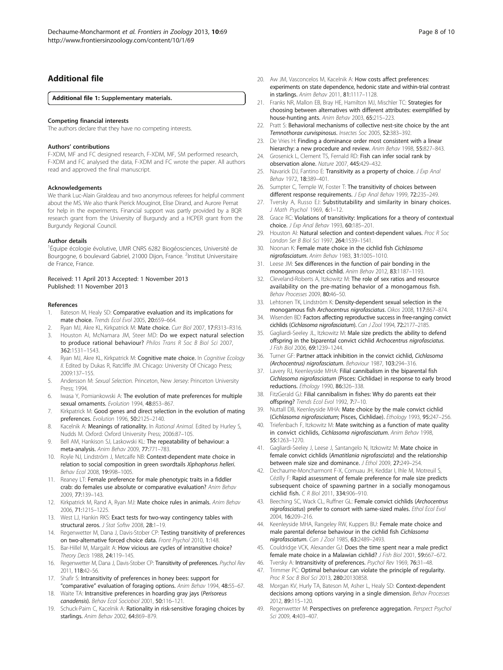## <span id="page-7-0"></span>Additional file

#### [Additional file 1:](http://www.biomedcentral.com/content/supplementary/1742-9994-10-69-S1.pdf) Supplementary materials.

#### Competing financial interests

The authors declare that they have no competing interests.

#### Authors' contributions

F-XDM, MF and FC designed research, F-XDM, MF, SM performed research, F-XDM and FC analysed the data, F-XDM and FC wrote the paper. All authors read and approved the final manuscript.

#### Acknowledgements

We thank Luc-Alain Giraldeau and two anonymous referees for helpful comment about the MS. We also thank Pierick Mouginot, Elise Dirand, and Aurore Pernat for help in the experiments. Financial support was partly provided by a BQR research grant from the University of Burgundy and a HCPER grant from the Burgundy Regional Council.

#### Author details

<sup>1</sup>Équipe écologie évolutive, UMR CNRS 6282 Biogéosciences, Université de Bourgogne, 6 boulevard Gabriel, 21000 Dijon, France. <sup>2</sup>Institut Universitaire de France, France.

#### Received: 11 April 2013 Accepted: 1 November 2013 Published: 11 November 2013

#### References

- 1. Bateson M, Healy SD: Comparative evaluation and its implications for mate choice. Trends Ecol Evol 2005, 20:659–664.
- 2. Ryan MJ, Akre KL, Kirkpatrick M: Mate choice. Curr Biol 2007, 17:R313-R316. 3. Houston AI, McNamara JM, Steer MD: Do we expect natural selection
- to produce rational behaviour? Philos Trans R Soc B Biol Sci 2007, 362:1531–1543.
- 4. Ryan MJ, Akre KL, Kirkpatrick M: Cognitive mate choice. In Cognitive Ecology II. Edited by Dukas R, Ratcliffe JM. Chicago: University Of Chicago Press; 2009:137–155.
- 5. Andersson M: Sexual Selection. Princeton, New Jersey: Princeton University Press; 1994.
- 6. Iwasa Y, Pomiankowski A: The evolution of mate preferences for multiple sexual ornaments. Evolution 1994, 48:853-867.
- 7. Kirkpatrick M: Good genes and direct selection in the evolution of mating preferences. Evolution 1996, 50:2125–2140.
- 8. Kacelnik A: Meanings of rationality. In Rational Animal. Edited by Hurley S, Nudds M. Oxford: Oxford University Press; 2006:87–105.
- Bell AM, Hankison SJ, Laskowski KL: The repeatability of behaviour: a meta-analysis. Anim Behav 2009, 77:771–783.
- 10. Royle NJ, Lindström J, Metcalfe NB: Context-dependent mate choice in relation to social composition in green swordtails Xiphophorus helleri. Behav Ecol 2008, 19:998–1005.
- 11. Reaney LT: Female preference for male phenotypic traits in a fiddler crab: do females use absolute or comparative evaluation? Anim Behav 2009, 77:139–143.
- 12. Kirkpatrick M, Rand A, Ryan MJ: Mate choice rules in animals. Anim Behav 2006, 71:1215–1225.
- 13. West LJ, Hankin RKS: Exact tests for two-way contingency tables with structural zeros. J Stat Softw 2008, 28:1-19.
- 14. Regenwetter M, Dana J, Davis-Stober CP: Testing transitivity of preferences on two-alternative forced choice data. Front Psychol 2010, 1:148.
- 15. Bar-Hillel M, Margalit A: How vicious are cycles of intransitive choice? Theory Decis 1988, 24:119–145.
- 16. Regenwetter M, Dana J, Davis-Stober CP: Transitivity of preferences. Psychol Rev 2011, 118:42–56.
- 17. Shafir S: Intransitivity of preferences in honey bees: support for "comparative" evaluation of foraging options. Anim Behav 1994, 48:55–67.
- Waite TA: Intransitive preferences in hoarding gray jays (Perisoreus canadensis). Behav Ecol Sociobiol 2001, 50:116–121.
- 19. Schuck-Paim C, Kacelnik A: Rationality in risk-sensitive foraging choices by starlings. Anim Behav 2002, 64:869–879.
- 20. Aw JM, Vasconcelos M, Kacelnik A: How costs affect preferences: experiments on state dependence, hedonic state and within-trial contrast in starlings. Anim Behav 2011, 81:1117–1128.
- 21. Franks NR, Mallon EB, Bray HE, Hamilton MJ, Mischler TC: Strategies for choosing between alternatives with different attributes: exemplified by house-hunting ants. Anim Behav 2003, 65:215–223.
- 22. Pratt S: Behavioral mechanisms of collective nest-site choice by the ant Temnothorax curvispinosus. Insectes Soc 2005, 52:383-392.
- 23. De Vries H: Finding a dominance order most consistent with a linear hierarchy: a new procedure and review. Anim Behav 1998, 55:827-843.
- Grosenick L, Clement TS, Fernald RD: Fish can infer social rank by observation alone. Nature 2007, 445:429–432.
- 25. Navarick DJ, Fantino E: Transitivity as a property of choice. J Exp Anal Behav 1972, 18:389–401.
- 26. Sumpter C, Temple W, Foster T: The transitivity of choices between different response requirements. J Exp Anal Behav 1999, 72:235-249.
- 27. Tversky A, Russo EJ: Substitutability and similarity in binary choices. J Math Psychol 1969, 6:1-12.
- 28. Grace RC: Violations of transitivity: Implications for a theory of contextual choice. J Exp Anal Behav 1993, 60:185–201.
- 29. Houston AI: Natural selection and context-dependent values. Proc R Soc London Ser B Biol Sci 1997, 264:1539-1541.
- 30. Noonan K: Female mate choice in the cichlid fish Cichlasoma nigrofasciatum. Anim Behav 1983, 31:1005–1010.
- 31. Leese JM: Sex differences in the function of pair bonding in the monogamous convict cichlid. Anim Behav 2012, 83:1187–1193.
- 32. Cleveland-Roberts A, Itzkowitz M: The role of sex ratios and resource availability on the pre-mating behavior of a monogamous fish. Behav Processes 2009, 80:46–50.
- 33. Lehtonen TK, Lindström K: Density-dependent sexual selection in the monogamous fish Archocentrus nigrofasciatus. Oikos 2008, 117:867–874.
- 34. Wisenden BD: Factors affecting reproductive success in free-ranging convict cichlids (Cichlasoma nigrofasciatum). Can J Zool 1994, 72:2177–2185.
- 35. Gagliardi-Seeley JL, Itzkowitz M: Male size predicts the ability to defend offspring in the biparental convict cichlid Archocentrus nigrofasciatus. J Fish Biol 2006, 69:1239-1244.
- 36. Turner GF: Partner attack inhibition in the convict cichlid, Cichlasoma (Archocentrus) nigrofasciatum. Behaviour 1987, 103:294–316.
- 37. Lavery RJ, Keenleyside MHA: Filial cannibalism in the biparental fish Cichlasoma nigrofasciatum (Pisces: Cichlidae) in response to early brood reductions. Ethology 1990, 86:326–338.
- 38. FitzGerald GJ: Filial cannibalism in fishes: Why do parents eat their offspring? Trends Ecol Evol 1992, 7:7–10.
- 39. Nuttall DB, Keenleyside MHA: Mate choice by the male convict cichlid (Cichlasoma nigrofasciatum; Pisces, Cichlidae). Ethology 1993, 95:247–256.
- 40. Triefenbach F, Itzkowitz M: Mate switching as a function of mate quality in convict cichlids, Cichlasoma nigrofasciatum. Anim Behav 1998, 55:1263–1270.
- 41. Gagliardi-Seeley J, Leese J, Santangelo N, Itzkowitz M: Mate choice in female convict cichlids (Amatitlania nigrofasciata) and the relationship between male size and dominance. J Ethol 2009, 27:249–254.
- 42. Dechaume-Moncharmont F-X, Cornuau JH, Keddar I, Ihle M, Motreuil S, Cézilly F: Rapid assessment of female preference for male size predicts subsequent choice of spawning partner in a socially monogamous cichlid fish. C R Biol 2011, 334:906–910.
- 43. Beeching SC, Wack CL, Ruffner GL: Female convict cichlids (Archocentrus nigrofasciatus) prefer to consort with same-sized males. Ethol Ecol Evol 2004, 16:209–216.
- Keenleyside MHA, Rangeley RW, Kuppers BU: Female mate choice and male parental defense behaviour in the cichlid fish Cichlasoma nigrofasciatum. Can J Zool 1985, 63:2489–2493.
- Couldridge VCK, Alexander GJ: Does the time spent near a male predict female mate choice in a Malawian cichlid? J Fish Biol 2001, 59:667–672.
- 46. Tversky A: Intransitivity of preferences. Psychol Rev 1969, 76:31-48
- 47. Trimmer PC: Optimal behaviour can violate the principle of regularity. Proc R Soc B Biol Sci 2013, 280:20130858.
- 48. Morgan KV, Hurly TA, Bateson M, Asher L, Healy SD: Context-dependent decisions among options varying in a single dimension. Behav Processes 2012, 89:115–120.
- 49. Regenwetter M: Perspectives on preference aggregation. Perspect Psychol Sci 2009, 4:403–407.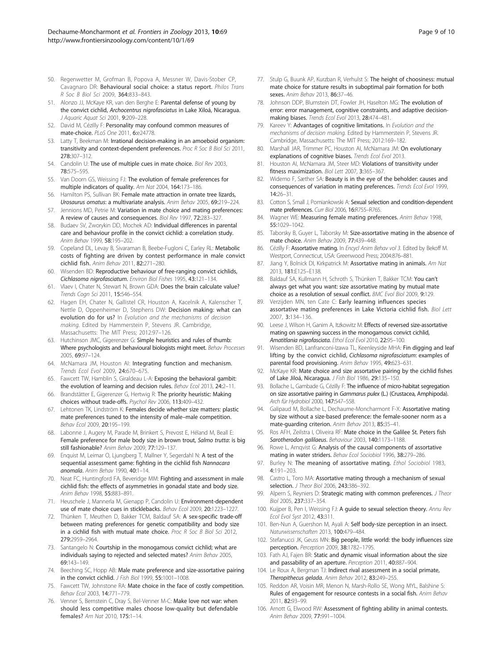- <span id="page-8-0"></span>50. Regenwetter M, Grofman B, Popova A, Messner W, Davis-Stober CP, Cavagnaro DR: Behavioural social choice: a status report. Philos Trans R Soc B Biol Sci 2009, 364:833–843.
- 51. Alonzo JJ, McKaye KR, van den Berghe E: Parental defense of young by the convict cichlid, Archocentrus nigrofasciatus in Lake Xiloá, Nicaragua. J Aquaric Aquat Sci 2001, 9:209–228.
- 52. David M, Cézilly F: Personality may confound common measures of mate-choice. PLoS One 2011, 6:e24778.
- 53. Latty T, Beekman M: Irrational decision-making in an amoeboid organism: transitivity and context-dependent preferences. Proc R Soc B Biol Sci 2011, 278:307–312.
- 54. Candolin U: The use of multiple cues in mate choice. Biol Rev 2003. 78:575–595.
- 55. Van Doorn GS, Weissing FJ: The evolution of female preferences for multiple indicators of quality. Am Nat 2004, 164:173–186.
- 56. Hamilton PS, Sullivan BK: Female mate attraction in ornate tree lizards, Urosaurus ornatus: a multivariate analysis. Anim Behav 2005, 69:219–224.
- 57. Jennions MD, Petrie M: Variation in mate choice and mating preferences: A review of causes and consequences. Biol Rev 1997, 72:283–327.
- 58. Budaev SV, Zworykin DD, Mochek AD: Individual differences in parental care and behaviour profile in the convict cichlid: a correlation study. Anim Behav 1999, 58:195-202.
- 59. Copeland DL, Levay B, Sivaraman B, Beebe-Fugloni C, Earley RL: Metabolic costs of fighting are driven by contest performance in male convict cichlid fish. Anim Behav 2011, 82:271–280.
- 60. Wisenden BD: Reproductive behaviour of free-ranging convict cichlids, Cichlasoma nigrofasciatum. Environ Biol Fishes 1995, 43:121–134.
- 61. Vlaev I, Chater N, Stewart N, Brown GDA: Does the brain calculate value? Trends Cogn Sci 2011, 15:546–554.
- 62. Hagen EH, Chater N, Gallistel CR, Houston A, Kacelnik A, Kalenscher T, Nettle D, Oppenheimer D, Stephens DW: Decision making: what can evolution do for us? In Evolution and the mechanisms of decision making. Edited by Hammerstein P, Stevens JR. Cambridge, Massachusetts: The MIT Press; 2012:97–126.
- 63. Hutchinson JMC, Gigerenzer G: Simple heuristics and rules of thumb: Where psychologists and behavioural biologists might meet. Behav Processes 2005, 69:97–124.
- 64. McNamara JM, Houston AI: Integrating function and mechanism. Trends Ecol Evol 2009, 24:670–675.
- Fawcett TW, Hamblin S, Giraldeau L-A: Exposing the behavioral gambit: the evolution of learning and decision rules. Behav Ecol 2013, 24:2-11.
- 66. Brandstätter E, Gigerenzer G, Hertwig R: The priority heuristic: Making choices without trade-offs. Psychol Rev 2006, 113:409–432.
- 67. Lehtonen TK, Lindström K: Females decide whether size matters: plastic mate preferences tuned to the intensity of male–male competition. Behav Ecol 2009, 20:195–199.
- 68. Labonne J, Augery M, Parade M, Brinkert S, Prevost E, Héland M, Beall E: Female preference for male body size in brown trout, Salmo trutta: is big still fashionable? Anim Behav 2009, 77:129–137.
- 69. Enquist M, Leimar O, Ljungberg T, Mallner Y, Segerdahl N: A test of the sequential assessment game: fighting in the cichlid fish Nannacara anomala. Anim Behav 1990, 40:1–14.
- 70. Neat FC, Huntingford FA, Beveridge MM: Fighting and assessment in male cichlid fish: the effects of asymmetries in gonadal state and body size. Anim Behav 1998, 55:883–891.
- 71. Heuschele J, Mannerla M, Gienapp P, Candolin U: Environment-dependent use of mate choice cues in sticklebacks. Behav Ecol 2009, 20:1223–1227.
- 72. Thünken T, Meuthen D, Bakker TCM, Baldauf SA: A sex-specific trade-off between mating preferences for genetic compatibility and body size in a cichlid fish with mutual mate choice. Proc R Soc B Biol Sci 2012, 279:2959–2964.
- 73. Santangelo N: Courtship in the monogamous convict cichlid; what are individuals saying to rejected and selected mates? Anim Behav 2005, 69:143–149.
- 74. Beeching SC, Hopp AB: Male mate preference and size-assortative pairing in the convict cichlid. J Fish Biol 1999, 55:1001–1008.
- 75. Fawcett TW, Johnstone RA: Mate choice in the face of costly competition. Behav Ecol 2003, 14:771–779.
- 76. Venner S, Bernstein C, Dray S, Bel-Venner M-C: Make love not war: when should less competitive males choose low-quality but defendable females? Am Nat 2010, 175:1–14.
- 77. Stulp G, Buunk AP, Kurzban R, Verhulst S: The height of choosiness: mutual mate choice for stature results in suboptimal pair formation for both sexes. Anim Behav 2013, 86:37–46.
- 78. Johnson DDP, Blumstein DT, Fowler JH, Haselton MG: The evolution of error: error management, cognitive constraints, and adaptive decisionmaking biases. Trends Ecol Evol 2013, 28:474–481.
- 79. Kareev Y: Advantages of cognitive limitations. In Evolution and the mechanisms of decision making. Edited by Hammerstein P, Stevens JR. Cambridge, Massachusetts: The MIT Press; 2012:169–182.
- 80. Marshall JAR, Trimmer PC, Houston AI, McNamara JM: On evolutionary explanations of cognitive biases. Trends Ecol Evol 2013.
- 81. Houston AI, McNamara JM, Steer MD: Violations of transitivity under fitness maximization. Biol Lett 2007, 3:365–367.
- 82. Widemo F, Sæther SA: Beauty is in the eye of the beholder: causes and consequences of variation in mating preferences. Trends Ecol Evol 1999, 14:26–31.
- 83. Cotton S, Small J, Pomiankowski A: Sexual selection and condition-dependent mate preferences. Curr Biol 2006, 16:R755-R765
- 84. Wagner WE: Measuring female mating preferences. Anim Behav 1998, 55:1029–1042.
- 85. Taborsky B, Guyer L, Taborsky M: Size-assortative mating in the absence of mate choice. Anim Behav 2009, 77:439–448.
- 86. Cézilly F: Assortative mating. In Encycl Anim Behav vol 3. Edited by Bekoff M. Westport, Connecticut, USA: Greenwood Press; 2004:876–881.
- 87. Jiang Y, Bolnick DI, Kirkpatrick M: Assortative mating in animals. Am Nat 2013, 181:E125–E138.
- 88. Baldauf SA, Kullmann H, Schroth S, Thünken T, Bakker TCM: You can't always get what you want: size assortative mating by mutual mate choice as a resolution of sexual conflict. BMC Evol Biol 2009, 9:129.
- 89. Verzijden MN, ten Cate C: Early learning influences species assortative mating preferences in Lake Victoria cichlid fish. Biol Lett 2007, 3:134–136.
- 90. Leese J, Wilson H, Ganim A, Itzkowitz M: Effects of reversed size-assortative mating on spawning success in the monogamous convict cichlid, Amatitlania nigrofasciata. Ethol Ecol Evol 2010, 22:95–100.
- 91. Wisenden BD, Lanfranconi-Izawa TL, Keenleyside MHA: Fin digging and leaf lifting by the convict cichlid, Cichlasoma nigrofasciatum: examples of parental food provisioning. Anim Behav 1995, 49:623–631.
- 92. McKaye KR: Mate choice and size assortative pairing by the cichlid fishes of Lake Jiloá, Nicaragua. J Fish Biol 1986, 29:135–150.
- 93. Bollache L, Gambade G, Cézilly F: The influence of micro-habitat segregation on size assortative pairing in Gammarus pulex (L.) (Crustacea, Amphipoda). Arch für Hydrobiol 2000, 147:547–558.
- 94. Galipaud M, Bollache L, Dechaume-Moncharmont F-X: Assortative mating by size without a size-based preference: the female-sooner norm as a mate-guarding criterion. Anim Behav 2013, 85:35–41.
- Ros AFH, Zeilstra I, Oliveira RF: Mate choice in the Galilee St. Peters fish Sarotherodon galilaeus. Behaviour 2003, 140:1173–1188.
- 96. Rowe L, Arnqvist G: Analysis of the causal components of assortative mating in water striders. Behav Ecol Sociobiol 1996, 38:279–286.
- 97. Burley N: The meaning of assortative mating. Ethol Sociobiol 1983, 4:191–203.
- 98. Castro L, Toro MA: Assortative mating through a mechanism of sexual selection. *J Theor Biol* 2006, 243:386-392.
- 99. Alpern S, Reyniers D: Strategic mating with common preferences. J Theor Biol 2005, 237:337–354.
- 100. Kuijper B, Pen I, Weissing FJ: A guide to sexual selection theory. Annu Rev Ecol Evol Syst 2012, 43:311.
- 101. Ben-Nun A, Guershon M, Ayali A: Self body-size perception in an insect. Naturwissenschaften 2013, 100:479–484.
- 102. Stefanucci JK, Geuss MN: Big people, little world: the body influences size perception. Perception 2009, 38:1782–1795.
- 103. Fath AJ, Fajen BR: Static and dynamic visual information about the size and passability of an aperture. Perception 2011, 40:887-904.
- 104. Le Roux A, Bergman TJ: Indirect rival assessment in a social primate, Theropithecus gelada. Anim Behav 2012, 83:249–255.
- 105. Reddon AR, Voisin MR, Menon N, Marsh-Rollo SE, Wong MYL, Balshine S: Rules of engagement for resource contests in a social fish. Anim Behav 2011, 82:93–99.
- 106. Arnott G, Elwood RW: Assessment of fighting ability in animal contests. Anim Behav 2009, 77:991–1004.